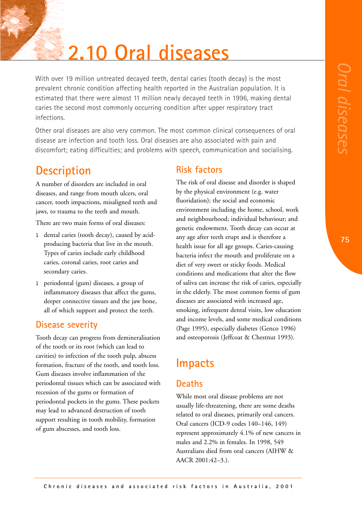# **2.10 Oral diseases**

With over 19 million untreated decayed teeth, dental caries (tooth decay) is the most prevalent chronic condition affecting health reported in the Australian population. It is estimated that there were almost 11 million newly decayed teeth in 1996, making dental caries the second most commonly occurring condition after upper respiratory tract infections.

Other oral diseases are also very common. The most common clinical consequences of oral disease are infection and tooth loss. Oral diseases are also associated with pain and discomfort; eating difficulties; and problems with speech, communication and socialising.

# **Description**

A number of disorders are included in oral diseases, and range from mouth ulcers, oral cancer, tooth impactions, misaligned teeth and jaws, to trauma to the teeth and mouth.

There are two main forms of oral diseases:

- l dental caries (tooth decay), caused by acidproducing bacteria that live in the mouth. Types of caries include early childhood caries, coronal caries, root caries and secondary caries.
- l periodontal (gum) diseases, a group of inflammatory diseases that affect the gums, deeper connective tissues and the jaw bone, all of which support and protect the teeth.

## **Disease severity**

Tooth decay can progress from demineralisation of the tooth or its root (which can lead to cavities) to infection of the tooth pulp, abscess formation, fracture of the tooth, and tooth loss. Gum diseases involve inflammation of the periodontal tissues which can be associated with recession of the gums or formation of periodontal pockets in the gums. These pockets may lead to advanced destruction of tooth support resulting in tooth mobility, formation of gum abscesses, and tooth loss.

#### **Risk factors**

The risk of oral disease and disorder is shaped by the physical environment (e.g. water fluoridation); the social and economic environment including the home, school, work and neighbourhood; individual behaviour; and genetic endowment. Tooth decay can occur at any age after teeth erupt and is therefore a health issue for all age groups. Caries-causing bacteria infect the mouth and proliferate on a diet of very sweet or sticky foods. Medical conditions and medications that alter the flow of saliva can increase the risk of caries, especially in the elderly. The most common forms of gum diseases are associated with increased age, smoking, infrequent dental visits, low education and income levels, and some medical conditions (Page 1995), especially diabetes (Genco 1996) and osteoporosis (Jeffcoat & Chestnut 1993).

## **Impacts**

### **Deaths**

While most oral disease problems are not usually life-threatening, there are some deaths related to oral diseases, primarily oral cancers. Oral cancers (ICD-9 codes 140–146, 149) represent approximately 4.1% of new cancers in males and 2.2% in females. In 1998, 549 Australians died from oral cancers (AIHW & AACR 2001:42–3.).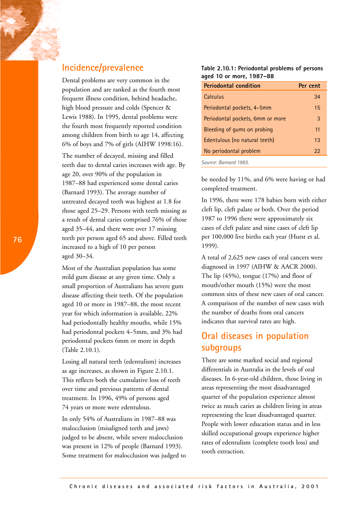Dental problems are very common in the population and are ranked as the fourth most frequent illness condition, behind headache, high blood pressure and colds (Spencer & Lewis 1988). In 1995, dental problems were the fourth most frequently reported condition among children from birth to age 14, affecting 6% of boys and 7% of girls (AIHW 1998:16).

The number of decayed, missing and filled teeth due to dental caries increases with age. By age 20, over 90% of the population in 1987–88 had experienced some dental caries (Barnard 1993). The average number of untreated decayed teeth was highest at 1.8 for those aged 25–29. Persons with teeth missing as a result of dental caries comprised 76% of those aged 35–44, and there were over 17 missing teeth per person aged 65 and above. Filled teeth increased to a high of 10 per person aged 30–34.

Most of the Australian population has some mild gum disease at any given time. Only a small proportion of Australians has severe gum disease affecting their teeth. Of the population aged 10 or more in 1987–88, the most recent year for which information is available, 22% had periodontally healthy mouths, while 15% had periodontal pockets 4–5mm, and 3% had periodontal pockets 6mm or more in depth (Table 2.10.1).

Losing all natural teeth (edentulism) increases as age increases, as shown in Figure 2.10.1. This reflects both the cumulative loss of teeth over time and previous patterns of dental treatment. In 1996, 49% of persons aged 74 years or more were edentulous.

In only 54% of Australians in 1987–88 was malocclusion (misaligned teeth and jaws) judged to be absent, while severe malocclusion was present in 12% of people (Barnard 1993). Some treatment for malocclusion was judged to **Table 2.10.1: Periodontal problems of persons aged 10 or more, 1987–88**

| <b>Periodontal condition</b>     | Per cent |
|----------------------------------|----------|
| Calculus                         | 34       |
| Periodontal pockets, 4-5mm       | 15       |
| Periodontal pockets, 6mm or more | 3        |
| Bleeding of gums on probing      | 11       |
| Edentulous (no natural teeth)    | 13       |
| No periodontal problem           | 22       |
| Source: Barnard 1993.            |          |

be needed by 11%, and 6% were having or had completed treatment.

In 1996, there were 178 babies born with either cleft lip, cleft palate or both. Over the period 1987 to 1996 there were approximately six cases of cleft palate and nine cases of cleft lip per 100,000 live births each year (Hurst et al. 1999).

A total of 2,625 new cases of oral cancers were diagnosed in 1997 (AIHW & AACR 2000). The lip (45%), tongue (17%) and floor of mouth/other mouth (15%) were the most common sites of these new cases of oral cancer. A comparison of the number of new cases with the number of deaths from oral cancers indicates that survival rates are high.

## **Oral diseases in population subgroups**

There are some marked social and regional differentials in Australia in the levels of oral diseases. In 6-year-old children, those living in areas representing the most disadvantaged quarter of the population experience almost twice as much caries as children living in areas representing the least disadvantaged quarter. People with lower education status and in less skilled occupational groups experience higher rates of edentulism (complete tooth loss) and tooth extraction.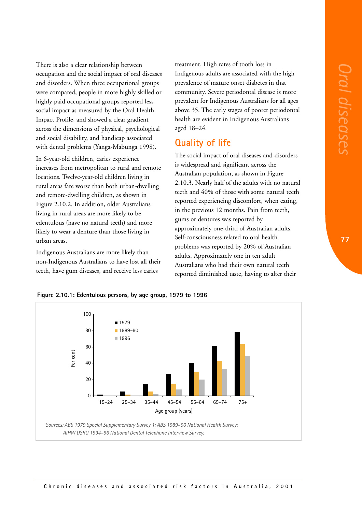There is also a clear relationship between occupation and the social impact of oral diseases and disorders. When three occupational groups were compared, people in more highly skilled or highly paid occupational groups reported less social impact as measured by the Oral Health Impact Profile, and showed a clear gradient across the dimensions of physical, psychological and social disability, and handicap associated with dental problems (Yanga-Mabunga 1998).

In 6-year-old children, caries experience increases from metropolitan to rural and remote locations. Twelve-year-old children living in rural areas fare worse than both urban-dwelling and remote-dwelling children, as shown in Figure 2.10.2. In addition, older Australians living in rural areas are more likely to be edentulous (have no natural teeth) and more likely to wear a denture than those living in urban areas.

Indigenous Australians are more likely than non-Indigenous Australians to have lost all their teeth, have gum diseases, and receive less caries

treatment. High rates of tooth loss in Indigenous adults are associated with the high prevalence of mature onset diabetes in that community. Severe periodontal disease is more prevalent for Indigenous Australians for all ages above 35. The early stages of poorer periodontal health are evident in Indigenous Australians aged 18–24.

#### **Quality of life**

The social impact of oral diseases and disorders is widespread and significant across the Australian population, as shown in Figure 2.10.3. Nearly half of the adults with no natural teeth and 40% of those with some natural teeth reported experiencing discomfort, when eating, in the previous 12 months. Pain from teeth, gums or dentures was reported by approximately one-third of Australian adults. Self-consciousness related to oral health problems was reported by 20% of Australian adults. Approximately one in ten adult Australians who had their own natural teeth reported diminished taste, having to alter their



**Figure 2.10.1: Edentulous persons, by age group, 1979 to 1996**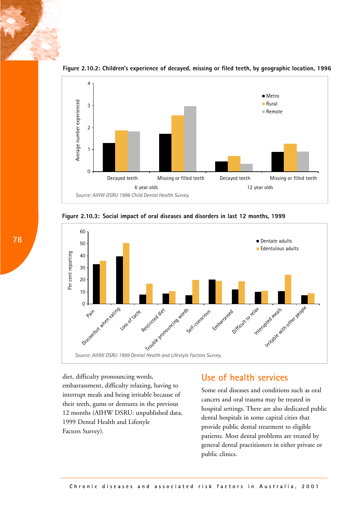

**Figure 2.10.2: Children's experience of decayed, missing or filed teeth, by geographic location, 1996** 





diet, difficulty pronouncing words, embarrassment, difficulty relaxing, having to interrupt meals and being irritable because of their teeth, gums or dentures in the previous 12 months (AIHW DSRU: unpublished data, 1999 Dental Health and Lifestyle Factors Survey).

#### **Use of health services**

Some oral diseases and conditions such as oral cancers and oral trauma may be treated in hospital settings. There are also dedicated public dental hospitals in some capital cities that provide public dental treatment to eligible patients. Most dental problems are treated by general dental practitioners in either private or public clinics.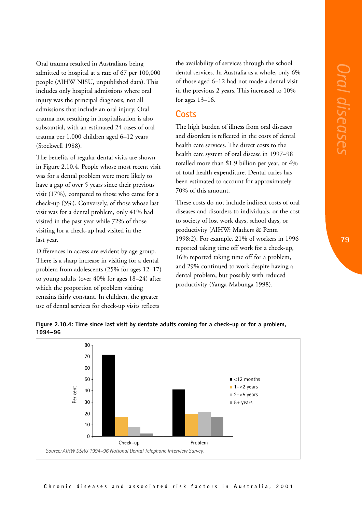Oral trauma resulted in Australians being admitted to hospital at a rate of 67 per 100,000 people (AIHW NISU, unpublished data). This includes only hospital admissions where oral injury was the principal diagnosis, not all admissions that include an oral injury. Oral trauma not resulting in hospitalisation is also substantial, with an estimated 24 cases of oral trauma per 1,000 children aged 6–12 years (Stockwell 1988).

The benefits of regular dental visits are shown in Figure 2.10.4. People whose most recent visit was for a dental problem were more likely to have a gap of over 5 years since their previous visit (17%), compared to those who came for a check-up (3%). Conversely, of those whose last visit was for a dental problem, only 41% had visited in the past year while 72% of those visiting for a check-up had visited in the last year.

Differences in access are evident by age group. There is a sharp increase in visiting for a dental problem from adolescents (25% for ages 12–17) to young adults (over 40% for ages 18–24) after which the proportion of problem visiting remains fairly constant. In children, the greater use of dental services for check-up visits reflects

the availability of services through the school dental services. In Australia as a whole, only 6% of those aged 6–12 had not made a dental visit in the previous 2 years. This increased to 10% for ages 13–16.

#### **Costs**

The high burden of illness from oral diseases and disorders is reflected in the costs of dental health care services. The direct costs to the health care system of oral disease in 1997–98 totalled more than \$1.9 billion per year, or 4% of total health expenditure. Dental caries has been estimated to account for approximately 70% of this amount.

These costs do not include indirect costs of oral diseases and disorders to individuals, or the cost to society of lost work days, school days, or productivity (AIHW: Mathers & Penm 1998:2). For example, 21% of workers in 1996 reported taking time off work for a check-up, 16% reported taking time off for a problem, and 29% continued to work despite having a dental problem, but possibly with reduced productivity (Yanga-Mabunga 1998).



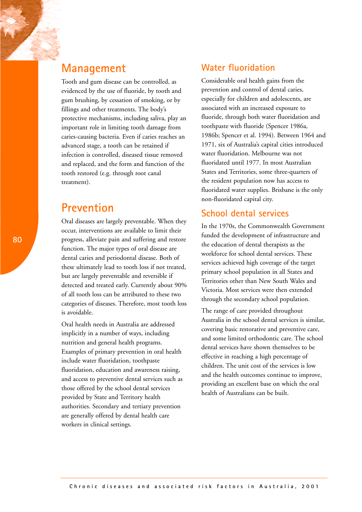Tooth and gum disease can be controlled, as evidenced by the use of fluoride, by tooth and gum brushing, by cessation of smoking, or by fillings and other treatments. The body's protective mechanisms, including saliva, play an important role in limiting tooth damage from caries-causing bacteria. Even if caries reaches an advanced stage, a tooth can be retained if infection is controlled, diseased tissue removed and replaced, and the form and function of the tooth restored (e.g. through root canal treatment).

## **Prevention**

Oral diseases are largely preventable. When they occur, interventions are available to limit their progress, alleviate pain and suffering and restore function. The major types of oral disease are dental caries and periodontal disease. Both of these ultimately lead to tooth loss if not treated, but are largely preventable and reversible if detected and treated early. Currently about 90% of all tooth loss can be attributed to these two categories of diseases. Therefore, most tooth loss is avoidable.

Oral health needs in Australia are addressed implicitly in a number of ways, including nutrition and general health programs. Examples of primary prevention in oral health include water fluoridation, toothpaste fluoridation, education and awareness raising, and access to preventive dental services such as those offered by the school dental services provided by State and Territory health authorities. Secondary and tertiary prevention are generally offered by dental health care workers in clinical settings.

### **Water fluoridation**

Considerable oral health gains from the prevention and control of dental caries, especially for children and adolescents, are associated with an increased exposure to fluoride, through both water fluoridation and toothpaste with fluoride (Spencer 1986a, 1986b; Spencer et al. 1994). Between 1964 and 1971, six of Australia's capital cities introduced water fluoridation. Melbourne was not fluoridated until 1977. In most Australian States and Territories, some three-quarters of the resident population now has access to fluoridated water supplies. Brisbane is the only non-fluoridated capital city.

### **School dental services**

In the 1970s, the Commonwealth Government funded the development of infrastructure and the education of dental therapists as the workforce for school dental services. These services achieved high coverage of the target primary school population in all States and Territories other than New South Wales and Victoria. Most services were then extended through the secondary school population.

The range of care provided throughout Australia in the school dental services is similar, covering basic restorative and preventive care, and some limited orthodontic care. The school dental services have shown themselves to be effective in reaching a high percentage of children. The unit cost of the services is low and the health outcomes continue to improve, providing an excellent base on which the oral health of Australians can be built.

**80**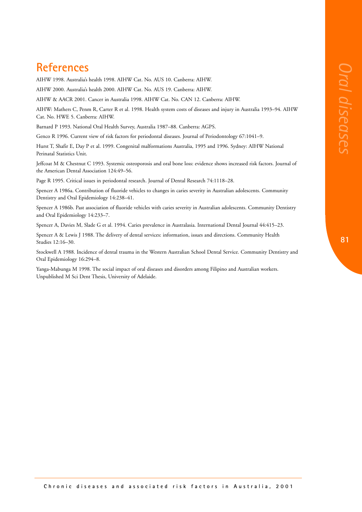## **References**

AIHW 1998. Australia's health 1998. AIHW Cat. No. AUS 10. Canberra: AIHW.

AIHW 2000. Australia's health 2000. AIHW Cat. No. AUS 19. Canberra: AIHW.

AIHW & AACR 2001. Cancer in Australia 1998. AIHW Cat. No. CAN 12. Canberra: AIHW.

AIHW: Mathers C, Penm R, Carter R et al. 1998. Health system costs of diseases and injury in Australia 1993–94. AIHW Cat. No. HWE 5. Canberra: AIHW.

Barnard P 1993. National Oral Health Survey, Australia 1987–88. Canberra: AGPS.

Genco R 1996. Current view of risk factors for periodontal diseases. Journal of Periodontology 67:1041–9.

Hurst T, Shafir E, Day P et al. 1999. Congenital malformations Australia, 1995 and 1996. Sydney: AIHW National Perinatal Statistics Unit.

Jeffcoat M & Chestnut C 1993. Systemic osteoporosis and oral bone loss: evidence shows increased risk factors. Journal of the American Dental Association 124:49–56.

Page R 1995. Critical issues in periodontal research. Journal of Dental Research 74:1118–28.

Spencer A 1986a. Contribution of fluoride vehicles to changes in caries severity in Australian adolescents. Community Dentistry and Oral Epidemiology 14:238–41.

Spencer A 1986b. Past association of fluoride vehicles with caries severity in Australian adolescents. Community Dentistry and Oral Epidemiology 14:233–7.

Spencer A, Davies M, Slade G et al. 1994. Caries prevalence in Australasia. International Dental Journal 44:415–23.

Spencer A & Lewis J 1988. The delivery of dental services: information, issues and directions. Community Health Studies 12:16–30.

Stockwell A 1988. Incidence of dental trauma in the Western Australian School Dental Service. Community Dentistry and Oral Epidemiology 16:294–8.

Yanga-Mabunga M 1998. The social impact of oral diseases and disorders among Filipino and Australian workers. Unpublished M Sci Dent Thesis, University of Adelaide.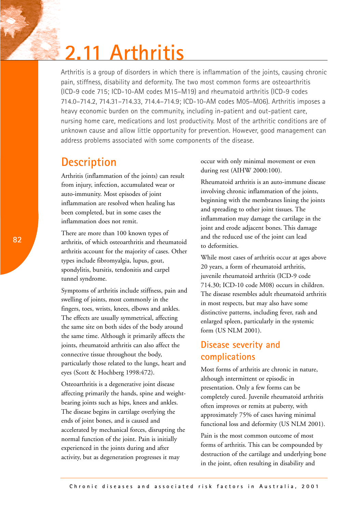# **2.11 Arthritis**

Arthritis is a group of disorders in which there is inflammation of the joints, causing chronic pain, stiffness, disability and deformity. The two most common forms are osteoarthritis (ICD-9 code 715; ICD-10-AM codes M15–M19) and rheumatoid arthritis (ICD-9 codes 714.0–714.2, 714.31–714.33, 714.4–714.9; ICD-10-AM codes M05–M06). Arthritis imposes a heavy economic burden on the community, including in-patient and out-patient care, nursing home care, medications and lost productivity. Most of the arthritic conditions are of unknown cause and allow little opportunity for prevention. However, good management can address problems associated with some components of the disease.

## **Description**

Arthritis (inflammation of the joints) can result from injury, infection, accumulated wear or auto-immunity. Most episodes of joint inflammation are resolved when healing has been completed, but in some cases the inflammation does not remit.

There are more than 100 known types of arthritis, of which osteoarthritis and rheumatoid arthritis account for the majority of cases. Other types include fibromyalgia, lupus, gout, spondylitis, bursitis, tendonitis and carpel tunnel syndrome.

Symptoms of arthritis include stiffness, pain and swelling of joints, most commonly in the fingers, toes, wrists, knees, elbows and ankles. The effects are usually symmetrical, affecting the same site on both sides of the body around the same time. Although it primarily affects the joints, rheumatoid arthritis can also affect the connective tissue throughout the body, particularly those related to the lungs, heart and eyes (Scott & Hochberg 1998:472).

Osteoarthritis is a degenerative joint disease affecting primarily the hands, spine and weightbearing joints such as hips, knees and ankles. The disease begins in cartilage overlying the ends of joint bones, and is caused and accelerated by mechanical forces, disrupting the normal function of the joint. Pain is initially experienced in the joints during and after activity, but as degeneration progresses it may

occur with only minimal movement or even during rest (AIHW 2000:100).

Rheumatoid arthritis is an auto-immune disease involving chronic inflammation of the joints, beginning with the membranes lining the joints and spreading to other joint tissues. The inflammation may damage the cartilage in the joint and erode adjacent bones. This damage and the reduced use of the joint can lead to deformities.

While most cases of arthritis occur at ages above 20 years, a form of rheumatoid arthritis, juvenile rheumatoid arthritis (ICD-9 code 714.30; ICD-10 code M08) occurs in children. The disease resembles adult rheumatoid arthritis in most respects, but may also have some distinctive patterns, including fever, rash and enlarged spleen, particularly in the systemic form (US NLM 2001).

## **Disease severity and complications**

Most forms of arthritis are chronic in nature, although intermittent or episodic in presentation. Only a few forms can be completely cured. Juvenile rheumatoid arthritis often improves or remits at puberty, with approximately 75% of cases having minimal functional loss and deformity (US NLM 2001).

Pain is the most common outcome of most forms of arthritis. This can be compounded by destruction of the cartilage and underlying bone in the joint, often resulting in disability and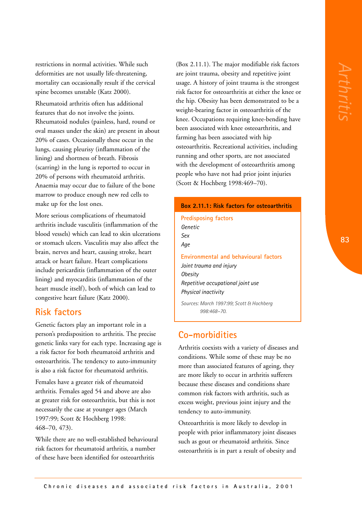restrictions in normal activities. While such deformities are not usually life-threatening, mortality can occasionally result if the cervical spine becomes unstable (Katz 2000).

Rheumatoid arthritis often has additional features that do not involve the joints. Rheumatoid nodules (painless, hard, round or oval masses under the skin) are present in about 20% of cases. Occasionally these occur in the lungs, causing pleurisy (inflammation of the lining) and shortness of breath. Fibrosis (scarring) in the lung is reported to occur in 20% of persons with rheumatoid arthritis. Anaemia may occur due to failure of the bone marrow to produce enough new red cells to make up for the lost ones.

More serious complications of rheumatoid arthritis include vasculitis (inflammation of the blood vessels) which can lead to skin ulcerations or stomach ulcers. Vasculitis may also affect the brain, nerves and heart, causing stroke, heart attack or heart failure. Heart complications include pericarditis (inflammation of the outer lining) and myocarditis (inflammation of the heart muscle itself), both of which can lead to congestive heart failure (Katz 2000).

#### **Risk factors**

Genetic factors play an important role in a person's predisposition to arthritis. The precise genetic links vary for each type. Increasing age is a risk factor for both rheumatoid arthritis and osteoarthritis. The tendency to auto-immunity is also a risk factor for rheumatoid arthritis.

Females have a greater risk of rheumatoid arthritis. Females aged 54 and above are also at greater risk for osteoarthritis, but this is not necessarily the case at younger ages (March 1997:99; Scott & Hochberg 1998: 468–70, 473).

While there are no well-established behavioural risk factors for rheumatoid arthritis, a number of these have been identified for osteoarthritis

(Box 2.11.1). The major modifiable risk factors are joint trauma, obesity and repetitive joint usage. A history of joint trauma is the strongest risk factor for osteoarthritis at either the knee or the hip. Obesity has been demonstrated to be a weight-bearing factor in osteoarthritis of the knee. Occupations requiring knee-bending have been associated with knee osteoarthritis, and farming has been associated with hip osteoarthritis. Recreational activities, including running and other sports, are not associated with the development of osteoarthritis among people who have not had prior joint injuries (Scott & Hochberg 1998:469–70).

#### **Box 2.11.1: Risk factors for osteoarthritis**

**Predisposing factors** *Genetic Sex Age*

**Environmental and behavioural factors** *Joint trauma and injury Obesity Repetitive occupational joint use Physical inactivity*

*Sources: March 1997:99; Scott & Hochberg 998:468–70.*

#### **Co-morbidities**

Arthritis coexists with a variety of diseases and conditions. While some of these may be no more than associated features of ageing, they are more likely to occur in arthritis sufferers because these diseases and conditions share common risk factors with arthritis, such as excess weight, previous joint injury and the tendency to auto-immunity.

Osteoarthritis is more likely to develop in people with prior inflammatory joint diseases such as gout or rheumatoid arthritis. Since osteoarthritis is in part a result of obesity and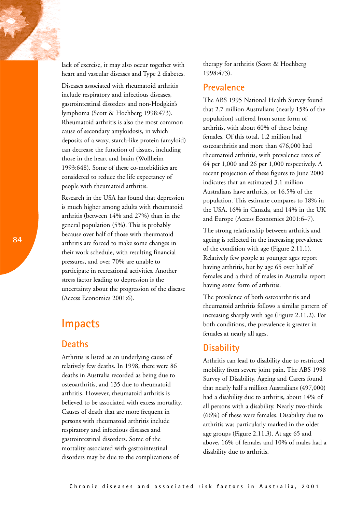lack of exercise, it may also occur together with heart and vascular diseases and Type 2 diabetes. Diseases associated with rheumatoid arthritis

include respiratory and infectious diseases, gastrointestinal disorders and non-Hodgkin's lymphoma (Scott & Hochberg 1998:473). Rheumatoid arthritis is also the most common cause of secondary amyloidosis, in which deposits of a waxy, starch-like protein (amyloid) can decrease the function of tissues, including those in the heart and brain (Wollheim 1993:648). Some of these co-morbidities are considered to reduce the life expectancy of people with rheumatoid arthritis.

Research in the USA has found that depression is much higher among adults with rheumatoid arthritis (between 14% and 27%) than in the general population (5%). This is probably because over half of those with rheumatoid arthritis are forced to make some changes in their work schedule, with resulting financial pressures, and over 70% are unable to participate in recreational activities. Another stress factor leading to depression is the uncertainty about the progression of the disease (Access Economics 2001:6).

## **Impacts**

#### **Deaths**

Arthritis is listed as an underlying cause of relatively few deaths. In 1998, there were 86 deaths in Australia recorded as being due to osteoarthritis, and 135 due to rheumatoid arthritis. However, rheumatoid arthritis is believed to be associated with excess mortality. Causes of death that are more frequent in persons with rheumatoid arthritis include respiratory and infectious diseases and gastrointestinal disorders. Some of the mortality associated with gastrointestinal disorders may be due to the complications of

therapy for arthritis (Scott & Hochberg 1998:473).

#### **Prevalence**

The ABS 1995 National Health Survey found that 2.7 million Australians (nearly 15% of the population) suffered from some form of arthritis, with about 60% of these being females. Of this total, 1.2 million had osteoarthritis and more than 476,000 had rheumatoid arthritis, with prevalence rates of 64 per 1,000 and 26 per 1,000 respectively. A recent projection of these figures to June 2000 indicates that an estimated 3.1 million Australians have arthritis, or 16.5% of the population. This estimate compares to 18% in the USA, 16% in Canada, and 14% in the UK and Europe (Access Economics 2001:6–7).

The strong relationship between arthritis and ageing is reflected in the increasing prevalence of the condition with age (Figure 2.11.1). Relatively few people at younger ages report having arthritis, but by age 65 over half of females and a third of males in Australia report having some form of arthritis.

The prevalence of both osteoarthritis and rheumatoid arthritis follows a similar pattern of increasing sharply with age (Figure 2.11.2). For both conditions, the prevalence is greater in females at nearly all ages.

#### **Disability**

Arthritis can lead to disability due to restricted mobility from severe joint pain. The ABS 1998 Survey of Disability, Ageing and Carers found that nearly half a million Australians (497,000) had a disability due to arthritis, about 14% of all persons with a disability. Nearly two-thirds (66%) of these were females. Disability due to arthritis was particularly marked in the older age groups (Figure 2.11.3). At age 65 and above, 16% of females and 10% of males had a disability due to arthritis.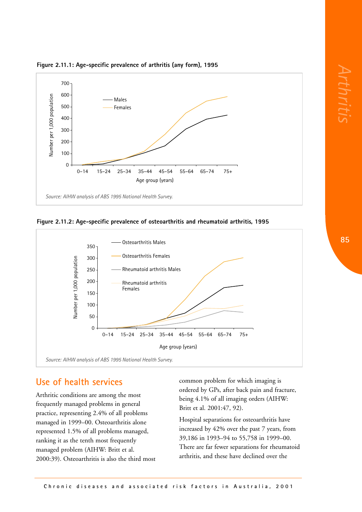

**Figure 2.11.1: Age-specific prevalence of arthritis (any form), 1995** 





#### **Use of health services**

Arthritic conditions are among the most frequently managed problems in general practice, representing 2.4% of all problems managed in 1999–00. Osteoarthritis alone represented 1.5% of all problems managed, ranking it as the tenth most frequently managed problem (AIHW: Britt et al. 2000:39). Osteoarthritis is also the third most common problem for which imaging is ordered by GPs, after back pain and fracture, being 4.1% of all imaging orders (AIHW: Britt et al. 2001:47, 92).

Hospital separations for osteoarthritis have increased by 42% over the past 7 years, from 39,186 in 1993–94 to 55,758 in 1999–00. There are far fewer separations for rheumatoid arthritis, and these have declined over the

*Arthritis*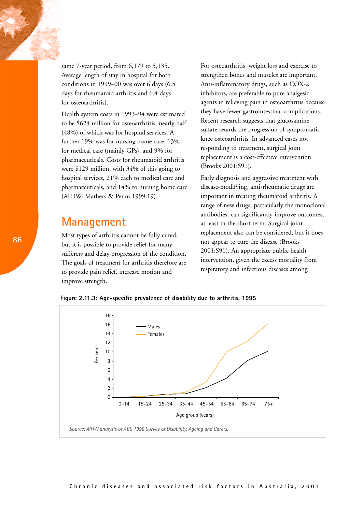same 7-year period, from 6,179 to 5,135. Average length of stay in hospital for both conditions in 1999–00 was over 6 days (6.5 days for rheumatoid arthritis and 6.4 days for osteoarthritis).

Health system costs in 1993–94 were estimated to be \$624 million for osteoarthritis, nearly half (48%) of which was for hospital services. A further 19% was for nursing home care, 13% for medical care (mainly GPs), and 9% for pharmaceuticals. Costs for rheumatoid arthritis were \$129 million, with 34% of this going to hospital services, 21% each to medical care and pharmaceuticals, and 14% to nursing home care (AIHW: Mathers & Penm 1999:19).

## **Management**

Most types of arthritis cannot be fully cured, but it is possible to provide relief for many sufferers and delay progression of the condition. The goals of treatment for arthritis therefore are to provide pain relief, increase motion and improve strength.

For osteoarthritis, weight loss and exercise to strengthen bones and muscles are important. Anti-inflammatory drugs, such as COX-2 inhibitors, are preferable to pure analgesic agents in relieving pain in osteoarthritis because they have fewer gastrointestinal complications. Recent research suggests that glucosamine sulfate retards the progression of symptomatic knee osteoarthritis. In advanced cases not responding to treatment, surgical joint replacement is a cost-effective intervention (Brooks 2001:S91).

Early diagnosis and aggressive treatment with disease-modifying, anti-rheumatic drugs are important in treating rheumatoid arthritis. A range of new drugs, particularly the monoclonal antibodies, can significantly improve outcomes, at least in the short term. Surgical joint replacement also can be considered, but it does not appear to cure the disease (Brooks 2001:S91). An appropriate public health intervention, given the excess mortality from respiratory and infectious diseases among

**Figure 2.11.3: Age-specific prevalence of disability due to arthritis, 1995** 

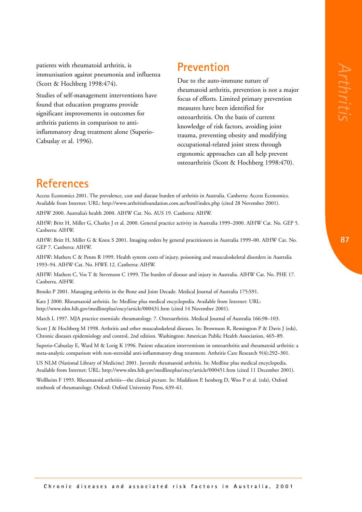*Arthritis*

patients with rheumatoid arthritis, is immunisation against pneumonia and influenza (Scott & Hochberg 1998:474).

Studies of self-management interventions have found that education programs provide significant improvements in outcomes for arthritis patients in comparison to antiinflammatory drug treatment alone (Superio-Cabuslay et al. 1996).

## **Prevention**

Due to the auto-immune nature of rheumatoid arthritis, prevention is not a major focus of efforts. Limited primary prevention measures have been identified for osteoarthritis. On the basis of current knowledge of risk factors, avoiding joint trauma, preventing obesity and modifying occupational-related joint stress through ergonomic approaches can all help prevent osteoarthritis (Scott & Hochberg 1998:470).

# **References**

Access Economics 2001. The prevalence, cost and disease burden of arthritis in Australia. Canberra: Access Economics. Available from Internet: URL: http://www.arthritisfoundation.com.au/html/index.php (cited 28 November 2001).

AIHW 2000. Australia's health 2000. AIHW Cat. No. AUS 19. Canberra: AIHW.

AIHW: Britt H, Miller G, Charles J et al. 2000. General practice activity in Australia 1999–2000. AIHW Cat. No. GEP 5. Canberra: AIHW.

AIHW: Britt H, Miller G & Knox S 2001. Imaging orders by general practitioners in Australia 1999–00. AIHW Cat. No. GEP 7. Canberra: AIHW.

AIHW: Mathers C & Penm R 1999. Health system costs of injury, poisoning and musculoskeletal disorders in Australia 1993–94. AIHW Cat. No. HWE 12. Canberra: AIHW.

AIHW: Mathers C, Vos T & Stevenson C 1999. The burden of disease and injury in Australia. AIHW Cat. No. PHE 17. Canberra. AIHW.

Brooks P 2001. Managing arthritis in the Bone and Joint Decade. Medical Journal of Australia 175:S91.

Katz J 2000. Rheumatoid arthritis. In: Medline plus medical encyclopedia. Available from Internet: URL: http://www.nlm.hih.gov/medlineplus/ency/article/000431.htm (cited 14 November 2001).

March L 1997. MJA practice essentials: rheumatology. 7. Osteoarthritis. Medical Journal of Australia 166:98–103.

Scott J & Hochberg M 1998. Arthritis and other musculoskeletal diseases. In: Brownson R, Remington P & Davis J (eds), Chronic diseases epidemiology and control, 2nd edition. Washington: American Public Health Association, 465–89.

Superio-Cabuslay E, Ward M & Lorig K 1996. Patient education interventions in osteoarthritis and rheumatoid arthritis: a meta-analytic comparison with non-steroidal anti-inflammatory drug treatment. Arthritis Care Research 9(4):292–301.

US NLM (National Library of Medicine) 2001. Juvenile rheumatoid arthritis. In: Medline plus medical encyclopedia. Available from Internet: URL: http://www.nlm.hih.gov/medlineplus/ency/article/000451.htm (cited 11 December 2001).

Wollheim F 1993. Rheumatoid arthritis—the clinical picture. In: Maddison P, Isenberg D, Woo P et al. (eds), Oxford textbook of rheumatology. Oxford: Oxford University Press, 639–61.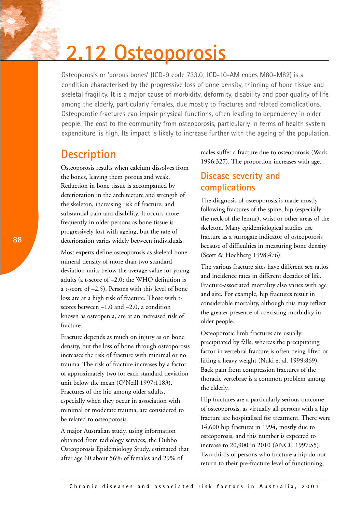# **2.12 Osteoporosis**

Osteoporosis or 'porous bones' (ICD-9 code 733.0; ICD-10-AM codes M80–M82) is a condition characterised by the progressive loss of bone density, thinning of bone tissue and skeletal fragility. It is a major cause of morbidity, deformity, disability and poor quality of life among the elderly, particularly females, due mostly to fractures and related complications. Osteoporotic fractures can impair physical functions, often leading to dependency in older people. The cost to the community from osteoporosis, particularly in terms of health system expenditure, is high. Its impact is likely to increase further with the ageing of the population.

## **Description**

Osteoporosis results when calcium dissolves from the bones, leaving them porous and weak. Reduction in bone tissue is accompanied by deterioration in the architecture and strength of the skeleton, increasing risk of fracture, and substantial pain and disability. It occurs more frequently in older persons as bone tissue is progressively lost with ageing, but the rate of deterioration varies widely between individuals.

Most experts define osteoporosis as skeletal bone mineral density of more than two standard deviation units below the average value for young adults (a t-score of –2.0; the WHO definition is a t-score of –2.5). Persons with this level of bone loss are at a high risk of fracture. Those with tscores between –1.0 and –2.0, a condition known as osteopenia, are at an increased risk of fracture.

Fracture depends as much on injury as on bone density, but the loss of bone through osteoporosis increases the risk of fracture with minimal or no trauma. The risk of fracture increases by a factor of approximately two for each standard deviation unit below the mean (O'Neill 1997:1183). Fractures of the hip among older adults, especially when they occur in association with minimal or moderate trauma, are considered to be related to osteoporosis.

A major Australian study, using information obtained from radiology services, the Dubbo Osteoporosis Epidemiology Study, estimated that after age 60 about 56% of females and 29% of

males suffer a fracture due to osteoporosis (Wark 1996:327). The proportion increases with age.

### **Disease severity and complications**

The diagnosis of osteoporosis is made mostly following fractures of the spine, hip (especially the neck of the femur), wrist or other areas of the skeleton. Many epidemiological studies use fracture as a surrogate indicator of osteoporosis because of difficulties in measuring bone density (Scott & Hochberg 1998:476).

The various fracture sites have different sex ratios and incidence rates in different decades of life. Fracture-associated mortality also varies with age and site. For example, hip fractures result in considerable mortality, although this may reflect the greater presence of coexisting morbidity in older people.

Osteoporotic limb fractures are usually precipitated by falls, whereas the precipitating factor in vertebral fracture is often being lifted or lifting a heavy weight (Nuki et al. 1999:869). Back pain from compression fractures of the thoracic vertebrae is a common problem among the elderly.

Hip fractures are a particularly serious outcome of osteoporosis, as virtually all persons with a hip fracture are hospitalised for treatment. There were 14,600 hip fractures in 1994, mostly due to osteoporosis, and this number is expected to increase to 20,900 in 2010 (ANCC 1997:S5). Two-thirds of persons who fracture a hip do not return to their pre-fracture level of functioning,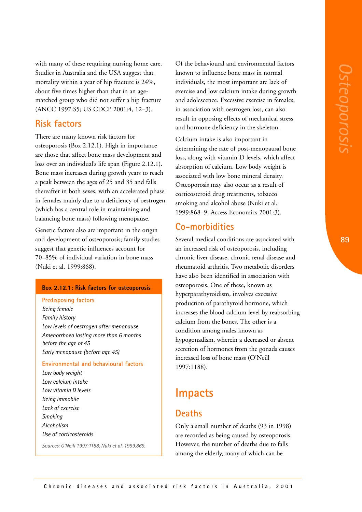with many of these requiring nursing home care. Studies in Australia and the USA suggest that mortality within a year of hip fracture is 24%, about five times higher than that in an agematched group who did not suffer a hip fracture (ANCC 1997:S5; US CDCP 2001:4, 12–3).

#### **Risk factors**

There are many known risk factors for osteoporosis (Box 2.12.1). High in importance are those that affect bone mass development and loss over an individual's life span (Figure 2.12.1). Bone mass increases during growth years to reach a peak between the ages of 25 and 35 and falls thereafter in both sexes, with an accelerated phase in females mainly due to a deficiency of oestrogen (which has a central role in maintaining and balancing bone mass) following menopause.

Genetic factors also are important in the origin and development of osteoporosis; family studies suggest that genetic influences account for 70–85% of individual variation in bone mass (Nuki et al. 1999:868).

#### **Box 2.12.1: Risk factors for osteoporosis**

#### **Predisposing factors**

*Being female Family history Low levels of oestrogen after menopause Amenorrhoea lasting more than 6 months before the age of 45 Early menopause (before age 45)*

#### **Environmental and behavioural factors**

*Low body weight Low calcium intake Low vitamin D levels Being immobile Lack of exercise Smoking Alcoholism Use of corticosteroids*

*Sources: O'Neill 1997:1188; Nuki et al. 1999:869.* 

Of the behavioural and environmental factors known to influence bone mass in normal individuals, the most important are lack of exercise and low calcium intake during growth and adolescence. Excessive exercise in females, in association with oestrogen loss, can also result in opposing effects of mechanical stress and hormone deficiency in the skeleton.

Calcium intake is also important in determining the rate of post-menopausal bone loss, along with vitamin D levels, which affect absorption of calcium. Low body weight is associated with low bone mineral density. Osteoporosis may also occur as a result of corticosteroid drug treatments, tobacco smoking and alcohol abuse (Nuki et al. 1999:868–9; Access Economics 2001:3).

#### **Co-morbidities**

Several medical conditions are associated with an increased risk of osteoporosis, including chronic liver disease, chronic renal disease and rheumatoid arthritis. Two metabolic disorders have also been identified in association with osteoporosis. One of these, known as hyperparathyroidism, involves excessive production of parathyroid hormone, which increases the blood calcium level by reabsorbing calcium from the bones. The other is a condition among males known as hypogonadism, wherein a decreased or absent secretion of hormones from the gonads causes increased loss of bone mass (O'Neill 1997:1188).

## **Impacts**

#### **Deaths**

Only a small number of deaths (93 in 1998) are recorded as being caused by osteoporosis. However, the number of deaths due to falls among the elderly, many of which can be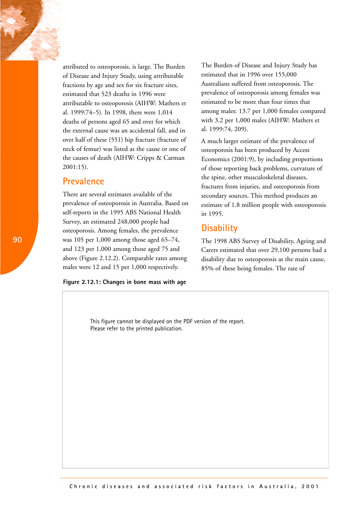attributed to osteoporosis, is large. The Burden of Disease and Injury Study, using attributable fractions by age and sex for six fracture sites, estimated that 523 deaths in 1996 were attributable to osteoporosis (AIHW: Mathers et al. 1999:74–5). In 1998, there were 1,014 deaths of persons aged 65 and over for which the external cause was an accidental fall, and in over half of these (551) hip fracture (fracture of neck of femur) was listed as the cause or one of the causes of death (AIHW: Cripps & Carman 2001:15).

#### **Prevalence**

There are several estimates available of the prevalence of osteoporosis in Australia. Based on self-reports in the 1995 ABS National Health Survey, an estimated 248,000 people had osteoporosis. Among females, the prevalence was 105 per 1,000 among those aged 65–74, and 123 per 1,000 among those aged 75 and above (Figure 2.12.2). Comparable rates among males were 12 and 15 per 1,000 respectively.

#### **Figure 2.12.1: Changes in bone mass with age**

The Burden of Disease and Injury Study has estimated that in 1996 over 155,000 Australians suffered from osteoporosis. The prevalence of osteoporosis among females was estimated to be more than four times that among males: 13.7 per 1,000 females compared with 3.2 per 1,000 males (AIHW: Mathers et al. 1999:74, 209).

A much larger estimate of the prevalence of osteoporosis has been produced by Access Economics (2001:9), by including proportions of those reporting back problems, curvature of the spine, other musculoskeletal diseases, fractures from injuries, and osteoporosis from secondary sources. This method produces an estimate of 1.8 million people with osteoporosis in 1995.

#### **Disability**

The 1998 ABS Survey of Disability, Ageing and Carers estimated that over 29,100 persons had a disability due to osteoporosis as the main cause, 85% of these being females. The rate of

This figure cannot be displayed on the PDF version of the report. Please refer to the printed publication.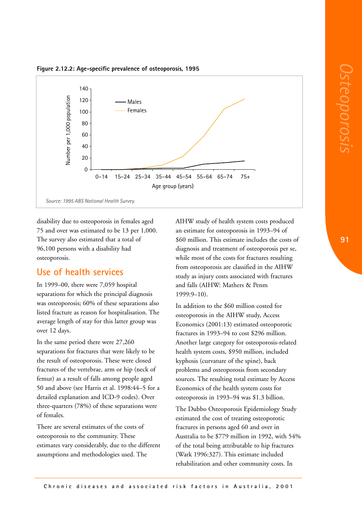



disability due to osteoporosis in females aged 75 and over was estimated to be 13 per 1,000. The survey also estimated that a total of 96,100 persons with a disability had osteoporosis.

#### **Use of health services**

In 1999–00, there were 7,059 hospital separations for which the principal diagnosis was osteoporosis; 60% of these separations also listed fracture as reason for hospitalisation. The average length of stay for this latter group was over 12 days.

In the same period there were 27,260 separations for fractures that were likely to be the result of osteoporosis. These were closed fractures of the vertebrae, arm or hip (neck of femur) as a result of falls among people aged 50 and above (see Harris et al. 1998:44–5 for a detailed explanation and ICD-9 codes). Over three-quarters (78%) of these separations were of females.

There are several estimates of the costs of osteoporosis to the community. These estimates vary considerably, due to the different assumptions and methodologies used. The

AIHW study of health system costs produced an estimate for osteoporosis in 1993–94 of \$60 million. This estimate includes the costs of diagnosis and treatment of osteoporosis per se, while most of the costs for fractures resulting from osteoporosis are classified in the AIHW study as injury costs associated with fractures and falls (AIHW: Mathers & Penm 1999:9–10).

In addition to the \$60 million costed for osteoporosis in the AIHW study, Access Economics (2001:13) estimated osteoporotic fractures in 1993–94 to cost \$296 million. Another large category for osteoporosis-related health system costs, \$950 million, included kyphosis (curvature of the spine), back problems and osteoporosis from secondary sources. The resulting total estimate by Access Economics of the health system costs for osteoporosis in 1993–94 was \$1.3 billion.

The Dubbo Osteoporosis Epidemiology Study estimated the cost of treating osteoporotic fractures in persons aged 60 and over in Australia to be \$779 million in 1992, with 54% of the total being attributable to hip fractures (Wark 1996:327). This estimate included rehabilitation and other community costs. In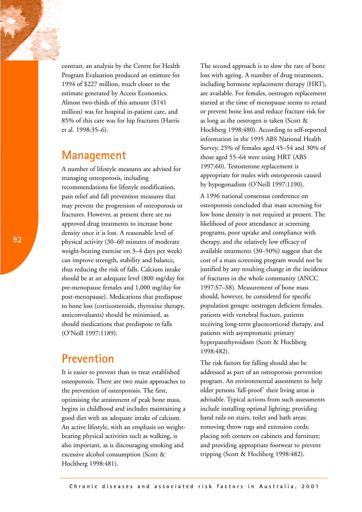contrast, an analysis by the Centre for Health Program Evaluation produced an estimate for 1994 of \$227 million, much closer to the estimate generated by Access Economics. Almost two-thirds of this amount (\$141 million) was for hospital in-patient care, and 85% of this care was for hip fractures (Harris et al. 1998:35–6).

## **Management**

A number of lifestyle measures are advised for managing osteoporosis, including recommendations for lifestyle modification, pain relief and fall prevention measures that may prevent the progression of osteoporosis or fractures. However, at present there are no approved drug treatments to increase bone density once it is lost. A reasonable level of physical activity (30–60 minutes of moderate weight-bearing exercise on 3–4 days per week) can improve strength, stability and balance, thus reducing the risk of falls. Calcium intake should be at an adequate level (800 mg/day for pre-menopause females and 1,000 mg/day for post-menopause). Medications that predispose to bone loss (corticosteroids, thyroxine therapy, anticonvulsants) should be minimised, as should medications that predispose to falls (O'Neill 1997:1189).

## **Prevention**

It is easier to prevent than to treat established osteoporosis. There are two main approaches to the prevention of osteoporosis. The first, optimising the attainment of peak bone mass, begins in childhood and includes maintaining a good diet with an adequate intake of calcium. An active lifestyle, with an emphasis on weightbearing physical activities such as walking, is also important, as is discouraging smoking and excessive alcohol consumption (Scott & Hochberg 1998:481).

The second approach is to slow the rate of bone loss with ageing. A number of drug treatments, including hormone replacement therapy (HRT), are available. For females, oestrogen replacement started at the time of menopause seems to retard or prevent bone loss and reduce fracture risk for as long as the oestrogen is taken (Scott & Hochberg 1998:480). According to self-reported information in the 1995 ABS National Health Survey, 25% of females aged 45–54 and 30% of those aged 55–64 were using HRT (ABS 1997:60). Testosterone replacement is appropriate for males with osteoporosis caused by hypogonadism (O'Neill 1997:1190).

A 1996 national consensus conference on osteoporosis concluded that mass screening for low bone density is not required at present. The likelihood of poor attendance at screening programs, poor uptake and compliance with therapy, and the relatively low efficacy of available treatments (30–50%) suggest that the cost of a mass screening program would not be justified by any resulting change in the incidence of fractures in the whole community (ANCC 1997:S7–S8). Measurement of bone mass should, however, be considered for specific population groups: oestrogen deficient females, patients with vertebral fracture, patients receiving long-term glucocorticoid therapy, and patients with asymptomatic primary hyperparathyroidism (Scott & Hochberg 1998:482).

The risk factors for falling should also be addressed as part of an osteoporosis prevention program. An environmental assessment to help older persons 'fall-proof' their living areas is advisable. Typical actions from such assessments include installing optimal lighting; providing hand rails on stairs, toilet and bath areas; removing throw rugs and extension cords; placing soft corners on cabinets and furniture; and providing appropriate footwear to prevent tripping (Scott & Hochberg 1998:482).